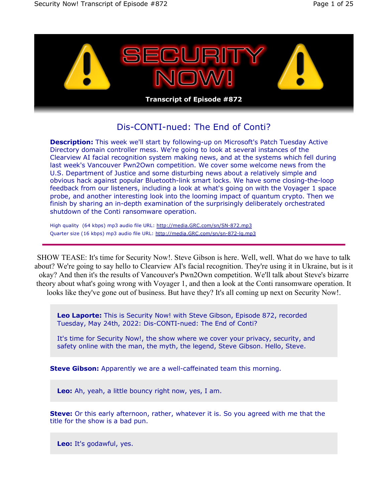

## Dis-CONTI-nued: The End of Conti?

**Description:** This week we'll start by following-up on Microsoft's Patch Tuesday Active Directory domain controller mess. We're going to look at several instances of the Clearview AI facial recognition system making news, and at the systems which fell during last week's Vancouver Pwn2Own competition. We cover some welcome news from the U.S. Department of Justice and some disturbing news about a relatively simple and obvious hack against popular Bluetooth-link smart locks. We have some closing-the-loop feedback from our listeners, including a look at what's going on with the Voyager 1 space probe, and another interesting look into the looming impact of quantum crypto. Then we finish by sharing an in-depth examination of the surprisingly deliberately orchestrated shutdown of the Conti ransomware operation.

High quality (64 kbps) mp3 audio file URL: http://media.GRC.com/sn/SN-872.mp3 Quarter size (16 kbps) mp3 audio file URL: http://media.GRC.com/sn/sn-872-lq.mp3

SHOW TEASE: It's time for Security Now!. Steve Gibson is here. Well, well. What do we have to talk about? We're going to say hello to Clearview AI's facial recognition. They're using it in Ukraine, but is it okay? And then it's the results of Vancouver's Pwn2Own competition. We'll talk about Steve's bizarre theory about what's going wrong with Voyager 1, and then a look at the Conti ransomware operation. It looks like they've gone out of business. But have they? It's all coming up next on Security Now!.

**Leo Laporte:** This is Security Now! with Steve Gibson, Episode 872, recorded Tuesday, May 24th, 2022: Dis-CONTI-nued: The End of Conti?

It's time for Security Now!, the show where we cover your privacy, security, and safety online with the man, the myth, the legend, Steve Gibson. Hello, Steve.

**Steve Gibson:** Apparently we are a well-caffeinated team this morning.

**Leo:** Ah, yeah, a little bouncy right now, yes, I am.

**Steve:** Or this early afternoon, rather, whatever it is. So you agreed with me that the title for the show is a bad pun.

**Leo:** It's godawful, yes.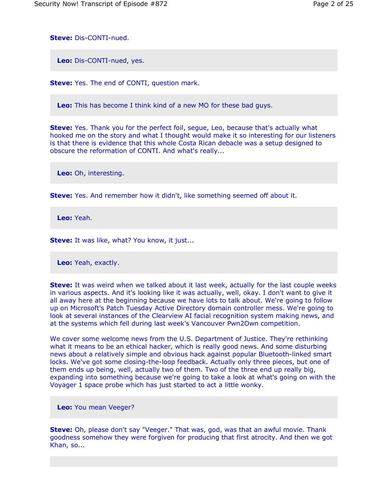**Steve:** Dis-CONTI-nued.

**Leo:** Dis-CONTI-nued, yes.

**Steve:** Yes. The end of CONTI, question mark.

**Leo:** This has become I think kind of a new MO for these bad guys.

**Steve:** Yes. Thank you for the perfect foil, segue, Leo, because that's actually what hooked me on the story and what I thought would make it so interesting for our listeners is that there is evidence that this whole Costa Rican debacle was a setup designed to obscure the reformation of CONTI. And what's really...

**Leo:** Oh, interesting.

**Steve:** Yes. And remember how it didn't, like something seemed off about it.

**Leo:** Yeah.

**Steve:** It was like, what? You know, it just...

**Leo:** Yeah, exactly.

**Steve:** It was weird when we talked about it last week, actually for the last couple weeks in various aspects. And it's looking like it was actually, well, okay. I don't want to give it all away here at the beginning because we have lots to talk about. We're going to follow up on Microsoft's Patch Tuesday Active Directory domain controller mess. We're going to look at several instances of the Clearview AI facial recognition system making news, and at the systems which fell during last week's Vancouver Pwn2Own competition.

We cover some welcome news from the U.S. Department of Justice. They're rethinking what it means to be an ethical hacker, which is really good news. And some disturbing news about a relatively simple and obvious hack against popular Bluetooth-linked smart locks. We've got some closing-the-loop feedback. Actually only three pieces, but one of them ends up being, well, actually two of them. Two of the three end up really big, expanding into something because we're going to take a look at what's going on with the Voyager 1 space probe which has just started to act a little wonky.

**Leo:** You mean Veeger?

**Steve:** Oh, please don't say "Veeger." That was, god, was that an awful movie. Thank goodness somehow they were forgiven for producing that first atrocity. And then we got Khan, so...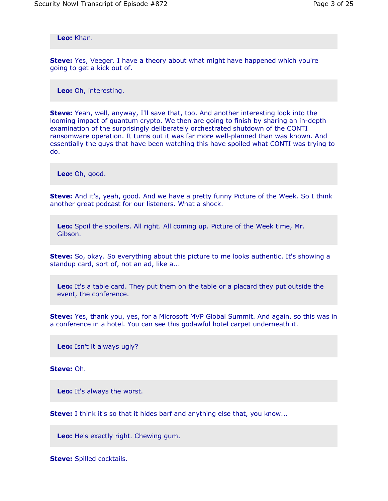**Leo:** Khan.

**Steve:** Yes, Veeger. I have a theory about what might have happened which you're going to get a kick out of.

**Leo:** Oh, interesting.

**Steve:** Yeah, well, anyway, I'll save that, too. And another interesting look into the looming impact of quantum crypto. We then are going to finish by sharing an in-depth examination of the surprisingly deliberately orchestrated shutdown of the CONTI ransomware operation. It turns out it was far more well-planned than was known. And essentially the guys that have been watching this have spoiled what CONTI was trying to do.

**Leo:** Oh, good.

**Steve:** And it's, yeah, good. And we have a pretty funny Picture of the Week. So I think another great podcast for our listeners. What a shock.

**Leo:** Spoil the spoilers. All right. All coming up. Picture of the Week time, Mr. Gibson.

**Steve:** So, okay. So everything about this picture to me looks authentic. It's showing a standup card, sort of, not an ad, like a...

**Leo:** It's a table card. They put them on the table or a placard they put outside the event, the conference.

**Steve:** Yes, thank you, yes, for a Microsoft MVP Global Summit. And again, so this was in a conference in a hotel. You can see this godawful hotel carpet underneath it.

**Leo:** Isn't it always ugly?

**Steve:** Oh.

**Leo:** It's always the worst.

**Steve:** I think it's so that it hides barf and anything else that, you know...

**Leo:** He's exactly right. Chewing gum.

**Steve:** Spilled cocktails.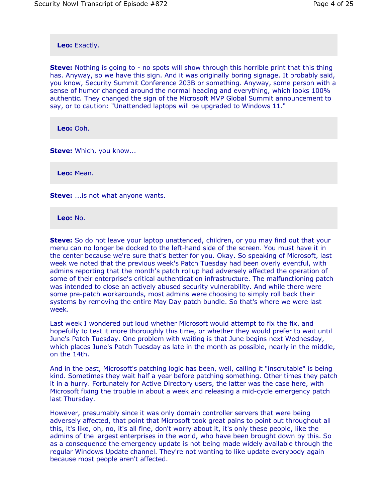**Leo:** Exactly.

**Steve:** Nothing is going to - no spots will show through this horrible print that this thing has. Anyway, so we have this sign. And it was originally boring signage. It probably said, you know, Security Summit Conference 203B or something. Anyway, some person with a sense of humor changed around the normal heading and everything, which looks 100% authentic. They changed the sign of the Microsoft MVP Global Summit announcement to say, or to caution: "Unattended laptops will be upgraded to Windows 11."

**Leo:** Ooh.

**Steve: Which, you know...** 

**Leo:** Mean.

**Steve:** ... is not what anyone wants.

**Leo:** No.

**Steve:** So do not leave your laptop unattended, children, or you may find out that your menu can no longer be docked to the left-hand side of the screen. You must have it in the center because we're sure that's better for you. Okay. So speaking of Microsoft, last week we noted that the previous week's Patch Tuesday had been overly eventful, with admins reporting that the month's patch rollup had adversely affected the operation of some of their enterprise's critical authentication infrastructure. The malfunctioning patch was intended to close an actively abused security vulnerability. And while there were some pre-patch workarounds, most admins were choosing to simply roll back their systems by removing the entire May Day patch bundle. So that's where we were last week.

Last week I wondered out loud whether Microsoft would attempt to fix the fix, and hopefully to test it more thoroughly this time, or whether they would prefer to wait until June's Patch Tuesday. One problem with waiting is that June begins next Wednesday, which places June's Patch Tuesday as late in the month as possible, nearly in the middle, on the 14th.

And in the past, Microsoft's patching logic has been, well, calling it "inscrutable" is being kind. Sometimes they wait half a year before patching something. Other times they patch it in a hurry. Fortunately for Active Directory users, the latter was the case here, with Microsoft fixing the trouble in about a week and releasing a mid-cycle emergency patch last Thursday.

However, presumably since it was only domain controller servers that were being adversely affected, that point that Microsoft took great pains to point out throughout all this, it's like, oh, no, it's all fine, don't worry about it, it's only these people, like the admins of the largest enterprises in the world, who have been brought down by this. So as a consequence the emergency update is not being made widely available through the regular Windows Update channel. They're not wanting to like update everybody again because most people aren't affected.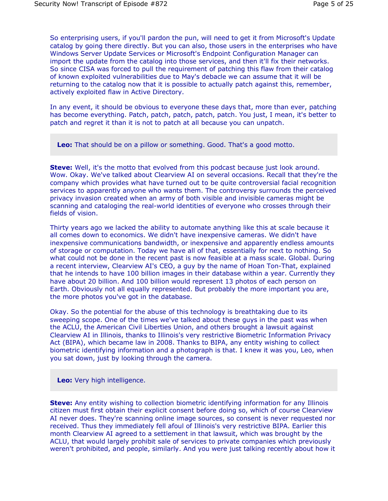So enterprising users, if you'll pardon the pun, will need to get it from Microsoft's Update catalog by going there directly. But you can also, those users in the enterprises who have Windows Server Update Services or Microsoft's Endpoint Configuration Manager can import the update from the catalog into those services, and then it'll fix their networks. So since CISA was forced to pull the requirement of patching this flaw from their catalog of known exploited vulnerabilities due to May's debacle we can assume that it will be returning to the catalog now that it is possible to actually patch against this, remember, actively exploited flaw in Active Directory.

In any event, it should be obvious to everyone these days that, more than ever, patching has become everything. Patch, patch, patch, patch, patch. You just, I mean, it's better to patch and regret it than it is not to patch at all because you can unpatch.

**Leo:** That should be on a pillow or something. Good. That's a good motto.

**Steve:** Well, it's the motto that evolved from this podcast because just look around. Wow. Okay. We've talked about Clearview AI on several occasions. Recall that they're the company which provides what have turned out to be quite controversial facial recognition services to apparently anyone who wants them. The controversy surrounds the perceived privacy invasion created when an army of both visible and invisible cameras might be scanning and cataloging the real-world identities of everyone who crosses through their fields of vision.

Thirty years ago we lacked the ability to automate anything like this at scale because it all comes down to economics. We didn't have inexpensive cameras. We didn't have inexpensive communications bandwidth, or inexpensive and apparently endless amounts of storage or computation. Today we have all of that, essentially for next to nothing. So what could not be done in the recent past is now feasible at a mass scale. Global. During a recent interview, Clearview AI's CEO, a guy by the name of Hoan Ton-That, explained that he intends to have 100 billion images in their database within a year. Currently they have about 20 billion. And 100 billion would represent 13 photos of each person on Earth. Obviously not all equally represented. But probably the more important you are, the more photos you've got in the database.

Okay. So the potential for the abuse of this technology is breathtaking due to its sweeping scope. One of the times we've talked about these guys in the past was when the ACLU, the American Civil Liberties Union, and others brought a lawsuit against Clearview AI in Illinois, thanks to Illinois's very restrictive Biometric Information Privacy Act (BIPA), which became law in 2008. Thanks to BIPA, any entity wishing to collect biometric identifying information and a photograph is that. I knew it was you, Leo, when you sat down, just by looking through the camera.

**Leo:** Very high intelligence.

**Steve:** Any entity wishing to collection biometric identifying information for any Illinois citizen must first obtain their explicit consent before doing so, which of course Clearview AI never does. They're scanning online image sources, so consent is never requested nor received. Thus they immediately fell afoul of Illinois's very restrictive BIPA. Earlier this month Clearview AI agreed to a settlement in that lawsuit, which was brought by the ACLU, that would largely prohibit sale of services to private companies which previously weren't prohibited, and people, similarly. And you were just talking recently about how it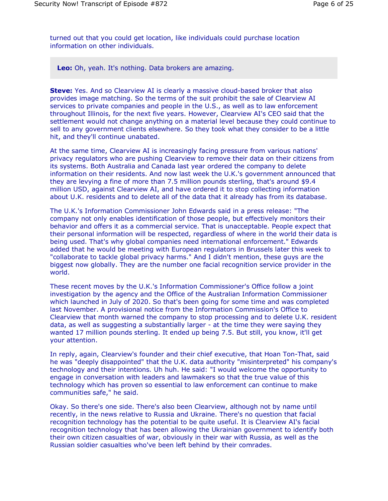turned out that you could get location, like individuals could purchase location information on other individuals.

**Leo:** Oh, yeah. It's nothing. Data brokers are amazing.

**Steve:** Yes. And so Clearview AI is clearly a massive cloud-based broker that also provides image matching. So the terms of the suit prohibit the sale of Clearview AI services to private companies and people in the U.S., as well as to law enforcement throughout Illinois, for the next five years. However, Clearview AI's CEO said that the settlement would not change anything on a material level because they could continue to sell to any government clients elsewhere. So they took what they consider to be a little hit, and they'll continue unabated.

At the same time, Clearview AI is increasingly facing pressure from various nations' privacy regulators who are pushing Clearview to remove their data on their citizens from its systems. Both Australia and Canada last year ordered the company to delete information on their residents. And now last week the U.K.'s government announced that they are levying a fine of more than 7.5 million pounds sterling, that's around \$9.4 million USD, against Clearview AI, and have ordered it to stop collecting information about U.K. residents and to delete all of the data that it already has from its database.

The U.K.'s Information Commissioner John Edwards said in a press release: "The company not only enables identification of those people, but effectively monitors their behavior and offers it as a commercial service. That is unacceptable. People expect that their personal information will be respected, regardless of where in the world their data is being used. That's why global companies need international enforcement." Edwards added that he would be meeting with European regulators in Brussels later this week to "collaborate to tackle global privacy harms." And I didn't mention, these guys are the biggest now globally. They are the number one facial recognition service provider in the world.

These recent moves by the U.K.'s Information Commissioner's Office follow a joint investigation by the agency and the Office of the Australian Information Commissioner which launched in July of 2020. So that's been going for some time and was completed last November. A provisional notice from the Information Commission's Office to Clearview that month warned the company to stop processing and to delete U.K. resident data, as well as suggesting a substantially larger - at the time they were saying they wanted 17 million pounds sterling. It ended up being 7.5. But still, you know, it'll get your attention.

In reply, again, Clearview's founder and their chief executive, that Hoan Ton-That, said he was "deeply disappointed" that the U.K. data authority "misinterpreted" his company's technology and their intentions. Uh huh. He said: "I would welcome the opportunity to engage in conversation with leaders and lawmakers so that the true value of this technology which has proven so essential to law enforcement can continue to make communities safe," he said.

Okay. So there's one side. There's also been Clearview, although not by name until recently, in the news relative to Russia and Ukraine. There's no question that facial recognition technology has the potential to be quite useful. It is Clearview AI's facial recognition technology that has been allowing the Ukrainian government to identify both their own citizen casualties of war, obviously in their war with Russia, as well as the Russian soldier casualties who've been left behind by their comrades.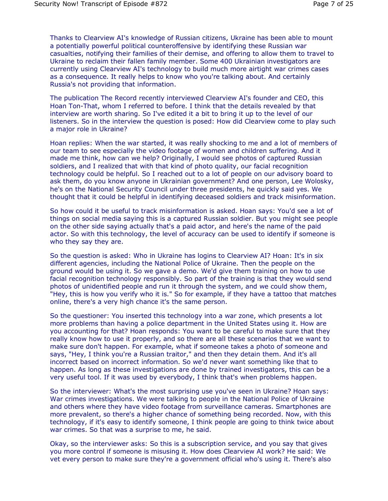Thanks to Clearview AI's knowledge of Russian citizens, Ukraine has been able to mount a potentially powerful political counteroffensive by identifying these Russian war casualties, notifying their families of their demise, and offering to allow them to travel to Ukraine to reclaim their fallen family member. Some 400 Ukrainian investigators are currently using Clearview AI's technology to build much more airtight war crimes cases as a consequence. It really helps to know who you're talking about. And certainly Russia's not providing that information.

The publication The Record recently interviewed Clearview AI's founder and CEO, this Hoan Ton-That, whom I referred to before. I think that the details revealed by that interview are worth sharing. So I've edited it a bit to bring it up to the level of our listeners. So in the interview the question is posed: How did Clearview come to play such a major role in Ukraine?

Hoan replies: When the war started, it was really shocking to me and a lot of members of our team to see especially the video footage of women and children suffering. And it made me think, how can we help? Originally, I would see photos of captured Russian soldiers, and I realized that with that kind of photo quality, our facial recognition technology could be helpful. So I reached out to a lot of people on our advisory board to ask them, do you know anyone in Ukrainian government? And one person, Lee Wolosky, he's on the National Security Council under three presidents, he quickly said yes. We thought that it could be helpful in identifying deceased soldiers and track misinformation.

So how could it be useful to track misinformation is asked. Hoan says: You'd see a lot of things on social media saying this is a captured Russian soldier. But you might see people on the other side saying actually that's a paid actor, and here's the name of the paid actor. So with this technology, the level of accuracy can be used to identify if someone is who they say they are.

So the question is asked: Who in Ukraine has logins to Clearview AI? Hoan: It's in six different agencies, including the National Police of Ukraine. Then the people on the ground would be using it. So we gave a demo. We'd give them training on how to use facial recognition technology responsibly. So part of the training is that they would send photos of unidentified people and run it through the system, and we could show them, "Hey, this is how you verify who it is." So for example, if they have a tattoo that matches online, there's a very high chance it's the same person.

So the questioner: You inserted this technology into a war zone, which presents a lot more problems than having a police department in the United States using it. How are you accounting for that? Hoan responds: You want to be careful to make sure that they really know how to use it properly, and so there are all these scenarios that we want to make sure don't happen. For example, what if someone takes a photo of someone and says, "Hey, I think you're a Russian traitor," and then they detain them. And it's all incorrect based on incorrect information. So we'd never want something like that to happen. As long as these investigations are done by trained investigators, this can be a very useful tool. If it was used by everybody, I think that's when problems happen.

So the interviewer: What's the most surprising use you've seen in Ukraine? Hoan says: War crimes investigations. We were talking to people in the National Police of Ukraine and others where they have video footage from surveillance cameras. Smartphones are more prevalent, so there's a higher chance of something being recorded. Now, with this technology, if it's easy to identify someone, I think people are going to think twice about war crimes. So that was a surprise to me, he said.

Okay, so the interviewer asks: So this is a subscription service, and you say that gives you more control if someone is misusing it. How does Clearview AI work? He said: We vet every person to make sure they're a government official who's using it. There's also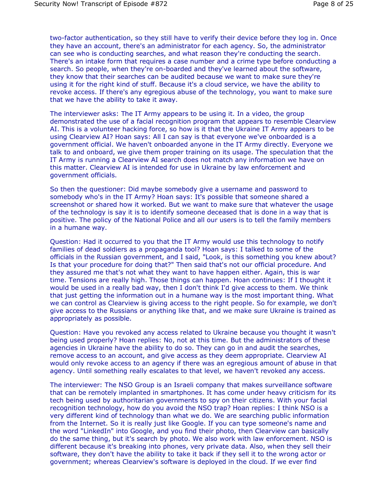two-factor authentication, so they still have to verify their device before they log in. Once they have an account, there's an administrator for each agency. So, the administrator can see who is conducting searches, and what reason they're conducting the search. There's an intake form that requires a case number and a crime type before conducting a search. So people, when they're on-boarded and they've learned about the software, they know that their searches can be audited because we want to make sure they're using it for the right kind of stuff. Because it's a cloud service, we have the ability to revoke access. If there's any egregious abuse of the technology, you want to make sure that we have the ability to take it away.

The interviewer asks: The IT Army appears to be using it. In a video, the group demonstrated the use of a facial recognition program that appears to resemble Clearview AI. This is a volunteer hacking force, so how is it that the Ukraine IT Army appears to be using Clearview AI? Hoan says: All I can say is that everyone we've onboarded is a government official. We haven't onboarded anyone in the IT Army directly. Everyone we talk to and onboard, we give them proper training on its usage. The speculation that the IT Army is running a Clearview AI search does not match any information we have on this matter. Clearview AI is intended for use in Ukraine by law enforcement and government officials.

So then the questioner: Did maybe somebody give a username and password to somebody who's in the IT Army? Hoan says: It's possible that someone shared a screenshot or shared how it worked. But we want to make sure that whatever the usage of the technology is say it is to identify someone deceased that is done in a way that is positive. The policy of the National Police and all our users is to tell the family members in a humane way.

Question: Had it occurred to you that the IT Army would use this technology to notify families of dead soldiers as a propaganda tool? Hoan says: I talked to some of the officials in the Russian government, and I said, "Look, is this something you knew about? Is that your procedure for doing that?" Then said that's not our official procedure. And they assured me that's not what they want to have happen either. Again, this is war time. Tensions are really high. Those things can happen. Hoan continues: If I thought it would be used in a really bad way, then I don't think I'd give access to them. We think that just getting the information out in a humane way is the most important thing. What we can control as Clearview is giving access to the right people. So for example, we don't give access to the Russians or anything like that, and we make sure Ukraine is trained as appropriately as possible.

Question: Have you revoked any access related to Ukraine because you thought it wasn't being used properly? Hoan replies: No, not at this time. But the administrators of these agencies in Ukraine have the ability to do so. They can go in and audit the searches, remove access to an account, and give access as they deem appropriate. Clearview AI would only revoke access to an agency if there was an egregious amount of abuse in that agency. Until something really escalates to that level, we haven't revoked any access.

The interviewer: The NSO Group is an Israeli company that makes surveillance software that can be remotely implanted in smartphones. It has come under heavy criticism for its tech being used by authoritarian governments to spy on their citizens. With your facial recognition technology, how do you avoid the NSO trap? Hoan replies: I think NSO is a very different kind of technology than what we do. We are searching public information from the Internet. So it is really just like Google. If you can type someone's name and the word "LinkedIn" into Google, and you find their photo, then Clearview can basically do the same thing, but it's search by photo. We also work with law enforcement. NSO is different because it's breaking into phones, very private data. Also, when they sell their software, they don't have the ability to take it back if they sell it to the wrong actor or government; whereas Clearview's software is deployed in the cloud. If we ever find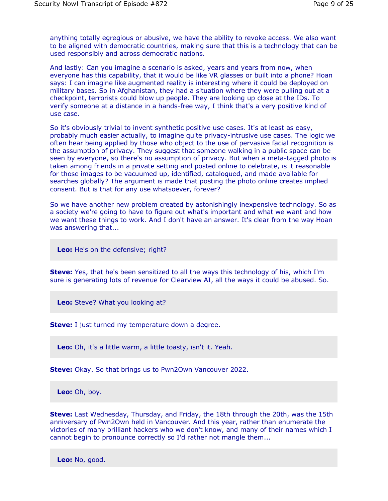anything totally egregious or abusive, we have the ability to revoke access. We also want to be aligned with democratic countries, making sure that this is a technology that can be used responsibly and across democratic nations.

And lastly: Can you imagine a scenario is asked, years and years from now, when everyone has this capability, that it would be like VR glasses or built into a phone? Hoan says: I can imagine like augmented reality is interesting where it could be deployed on military bases. So in Afghanistan, they had a situation where they were pulling out at a checkpoint, terrorists could blow up people. They are looking up close at the IDs. To verify someone at a distance in a hands-free way, I think that's a very positive kind of use case.

So it's obviously trivial to invent synthetic positive use cases. It's at least as easy, probably much easier actually, to imagine quite privacy-intrusive use cases. The logic we often hear being applied by those who object to the use of pervasive facial recognition is the assumption of privacy. They suggest that someone walking in a public space can be seen by everyone, so there's no assumption of privacy. But when a meta-tagged photo is taken among friends in a private setting and posted online to celebrate, is it reasonable for those images to be vacuumed up, identified, catalogued, and made available for searches globally? The argument is made that posting the photo online creates implied consent. But is that for any use whatsoever, forever?

So we have another new problem created by astonishingly inexpensive technology. So as a society we're going to have to figure out what's important and what we want and how we want these things to work. And I don't have an answer. It's clear from the way Hoan was answering that...

**Leo:** He's on the defensive; right?

**Steve:** Yes, that he's been sensitized to all the ways this technology of his, which I'm sure is generating lots of revenue for Clearview AI, all the ways it could be abused. So.

**Leo:** Steve? What you looking at?

**Steve:** I just turned my temperature down a degree.

**Leo:** Oh, it's a little warm, a little toasty, isn't it. Yeah.

**Steve:** Okay. So that brings us to Pwn2Own Vancouver 2022.

**Leo:** Oh, boy.

**Steve:** Last Wednesday, Thursday, and Friday, the 18th through the 20th, was the 15th anniversary of Pwn2Own held in Vancouver. And this year, rather than enumerate the victories of many brilliant hackers who we don't know, and many of their names which I cannot begin to pronounce correctly so I'd rather not mangle them...

**Leo:** No, good.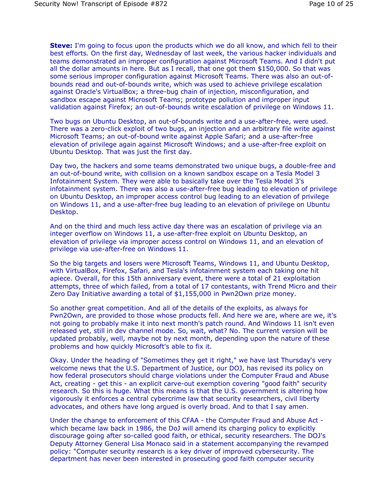**Steve:** I'm going to focus upon the products which we do all know, and which fell to their best efforts. On the first day, Wednesday of last week, the various hacker individuals and teams demonstrated an improper configuration against Microsoft Teams. And I didn't put all the dollar amounts in here. But as I recall, that one got them \$150,000. So that was some serious improper configuration against Microsoft Teams. There was also an out-ofbounds read and out-of-bounds write, which was used to achieve privilege escalation against Oracle's VirtualBox; a three-bug chain of injection, misconfiguration, and sandbox escape against Microsoft Teams; prototype pollution and improper input validation against Firefox; an out-of-bounds write escalation of privilege on Windows 11.

Two bugs on Ubuntu Desktop, an out-of-bounds write and a use-after-free, were used. There was a zero-click exploit of two bugs, an injection and an arbitrary file write against Microsoft Teams; an out-of-bound write against Apple Safari; and a use-after-free elevation of privilege again against Microsoft Windows; and a use-after-free exploit on Ubuntu Desktop. That was just the first day.

Day two, the hackers and some teams demonstrated two unique bugs, a double-free and an out-of-bound write, with collision on a known sandbox escape on a Tesla Model 3 Infotainment System. They were able to basically take over the Tesla Model 3's infotainment system. There was also a use-after-free bug leading to elevation of privilege on Ubuntu Desktop, an improper access control bug leading to an elevation of privilege on Windows 11, and a use-after-free bug leading to an elevation of privilege on Ubuntu Desktop.

And on the third and much less active day there was an escalation of privilege via an integer overflow on Windows 11, a use-after-free exploit on Ubuntu Desktop, an elevation of privilege via improper access control on Windows 11, and an elevation of privilege via use-after-free on Windows 11.

So the big targets and losers were Microsoft Teams, Windows 11, and Ubuntu Desktop, with VirtualBox, Firefox, Safari, and Tesla's infotainment system each taking one hit apiece. Overall, for this 15th anniversary event, there were a total of 21 exploitation attempts, three of which failed, from a total of 17 contestants, with Trend Micro and their Zero Day Initiative awarding a total of \$1,155,000 in Pwn2Own prize money.

So another great competition. And all of the details of the exploits, as always for Pwn2Own, are provided to those whose products fell. And here we are, where are we, it's not going to probably make it into next month's patch round. And Windows 11 isn't even released yet, still in dev channel mode. So, wait, what? No. The current version will be updated probably, well, maybe not by next month, depending upon the nature of these problems and how quickly Microsoft's able to fix it.

Okay. Under the heading of "Sometimes they get it right," we have last Thursday's very welcome news that the U.S. Department of Justice, our DOJ, has revised its policy on how federal prosecutors should charge violations under the Computer Fraud and Abuse Act, creating - get this - an explicit carve-out exemption covering "good faith" security research. So this is huge. What this means is that the U.S. government is altering how vigorously it enforces a central cybercrime law that security researchers, civil liberty advocates, and others have long argued is overly broad. And to that I say amen.

Under the change to enforcement of this CFAA - the Computer Fraud and Abuse Act which became law back in 1986, the DoJ will amend its charging policy to explicitly discourage going after so-called good faith, or ethical, security researchers. The DOJ's Deputy Attorney General Lisa Monaco said in a statement accompanying the revamped policy: "Computer security research is a key driver of improved cybersecurity. The department has never been interested in prosecuting good faith computer security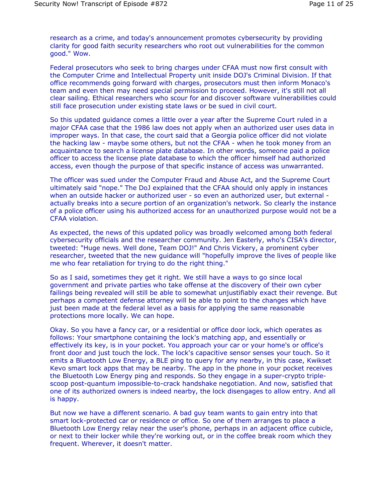research as a crime, and today's announcement promotes cybersecurity by providing clarity for good faith security researchers who root out vulnerabilities for the common good." Wow.

Federal prosecutors who seek to bring charges under CFAA must now first consult with the Computer Crime and Intellectual Property unit inside DOJ's Criminal Division. If that office recommends going forward with charges, prosecutors must then inform Monaco's team and even then may need special permission to proceed. However, it's still not all clear sailing. Ethical researchers who scour for and discover software vulnerabilities could still face prosecution under existing state laws or be sued in civil court.

So this updated guidance comes a little over a year after the Supreme Court ruled in a major CFAA case that the 1986 law does not apply when an authorized user uses data in improper ways. In that case, the court said that a Georgia police officer did not violate the hacking law - maybe some others, but not the CFAA - when he took money from an acquaintance to search a license plate database. In other words, someone paid a police officer to access the license plate database to which the officer himself had authorized access, even though the purpose of that specific instance of access was unwarranted.

The officer was sued under the Computer Fraud and Abuse Act, and the Supreme Court ultimately said "nope." The DoJ explained that the CFAA should only apply in instances when an outside hacker or authorized user - so even an authorized user, but external actually breaks into a secure portion of an organization's network. So clearly the instance of a police officer using his authorized access for an unauthorized purpose would not be a CFAA violation.

As expected, the news of this updated policy was broadly welcomed among both federal cybersecurity officials and the researcher community. Jen Easterly, who's CISA's director, tweeted: "Huge news. Well done, Team DOJ!" And Chris Vickery, a prominent cyber researcher, tweeted that the new guidance will "hopefully improve the lives of people like me who fear retaliation for trying to do the right thing."

So as I said, sometimes they get it right. We still have a ways to go since local government and private parties who take offense at the discovery of their own cyber failings being revealed will still be able to somewhat unjustifiably exact their revenge. But perhaps a competent defense attorney will be able to point to the changes which have just been made at the federal level as a basis for applying the same reasonable protections more locally. We can hope.

Okay. So you have a fancy car, or a residential or office door lock, which operates as follows: Your smartphone containing the lock's matching app, and essentially or effectively its key, is in your pocket. You approach your car or your home's or office's front door and just touch the lock. The lock's capacitive sensor senses your touch. So it emits a Bluetooth Low Energy, a BLE ping to query for any nearby, in this case, Kwikset Kevo smart lock apps that may be nearby. The app in the phone in your pocket receives the Bluetooth Low Energy ping and responds. So they engage in a super-crypto triplescoop post-quantum impossible-to-crack handshake negotiation. And now, satisfied that one of its authorized owners is indeed nearby, the lock disengages to allow entry. And all is happy.

But now we have a different scenario. A bad guy team wants to gain entry into that smart lock-protected car or residence or office. So one of them arranges to place a Bluetooth Low Energy relay near the user's phone, perhaps in an adjacent office cubicle, or next to their locker while they're working out, or in the coffee break room which they frequent. Wherever, it doesn't matter.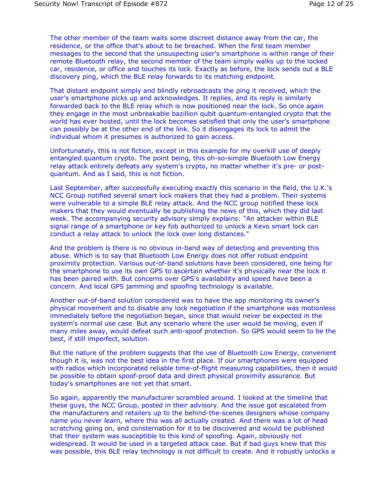The other member of the team waits some discreet distance away from the car, the residence, or the office that's about to be breached. When the first team member messages to the second that the unsuspecting user's smartphone is within range of their remote Bluetooth relay, the second member of the team simply walks up to the locked car, residence, or office and touches its lock. Exactly as before, the lock sends out a BLE discovery ping, which the BLE relay forwards to its matching endpoint.

That distant endpoint simply and blindly rebroadcasts the ping it received, which the user's smartphone picks up and acknowledges. It replies, and its reply is similarly forwarded back to the BLE relay which is now positioned near the lock. So once again they engage in the most unbreakable bazillion qubit quantum-entangled crypto that the world has ever hosted, until the lock becomes satisfied that only the user's smartphone can possibly be at the other end of the link. So it disengages its lock to admit the individual whom it presumes is authorized to gain access.

Unfortunately, this is not fiction, except in this example for my overkill use of deeply entangled quantum crypto. The point being, this oh-so-simple Bluetooth Low Energy relay attack entirely defeats any system's crypto, no matter whether it's pre- or postquantum. And as I said, this is not fiction.

Last September, after successfully executing exactly this scenario in the field, the U.K.'s NCC Group notified several smart lock makers that they had a problem. Their systems were vulnerable to a simple BLE relay attack. And the NCC group notified these lock makers that they would eventually be publishing the news of this, which they did last week. The accompanying security advisory simply explains: "An attacker within BLE signal range of a smartphone or key fob authorized to unlock a Kevo smart lock can conduct a relay attack to unlock the lock over long distances."

And the problem is there is no obvious in-band way of detecting and preventing this abuse. Which is to say that Bluetooth Low Energy does not offer robust endpoint proximity protection. Various out-of-band solutions have been considered, one being for the smartphone to use its own GPS to ascertain whether it's physically near the lock it has been paired with. But concerns over GPS's availability and speed have been a concern. And local GPS jamming and spoofing technology is available.

Another out-of-band solution considered was to have the app monitoring its owner's physical movement and to disable any lock negotiation if the smartphone was motionless immediately before the negotiation began, since that would never be expected in the system's normal use case. But any scenario where the user would be moving, even if many miles away, would defeat such anti-spoof protection. So GPS would seem to be the best, if still imperfect, solution.

But the nature of the problem suggests that the use of Bluetooth Low Energy, convenient though it is, was not the best idea in the first place. If our smartphones were equipped with radios which incorporated reliable time-of-flight measuring capabilities, then it would be possible to obtain spoof-proof data and direct physical proximity assurance. But today's smartphones are not yet that smart.

So again, apparently the manufacturer scrambled around. I looked at the timeline that these guys, the NCC Group, posted in their advisory. And the issue got escalated from the manufacturers and retailers up to the behind-the-scenes designers whose company name you never learn, where this was all actually created. And there was a lot of head scratching going on, and consternation for it to be discovered and would be published that their system was susceptible to this kind of spoofing. Again, obviously not widespread. It would be used in a targeted attack case. But if bad guys knew that this was possible, this BLE relay technology is not difficult to create. And it robustly unlocks a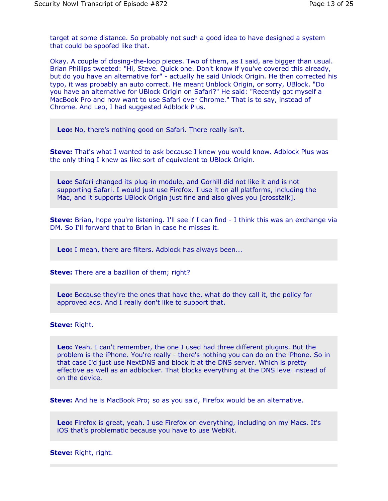target at some distance. So probably not such a good idea to have designed a system that could be spoofed like that.

Okay. A couple of closing-the-loop pieces. Two of them, as I said, are bigger than usual. Brian Phillips tweeted: "Hi, Steve. Quick one. Don't know if you've covered this already, but do you have an alternative for" - actually he said Unlock Origin. He then corrected his typo, it was probably an auto correct. He meant Unblock Origin, or sorry, UBlock. "Do you have an alternative for UBlock Origin on Safari?" He said: "Recently got myself a MacBook Pro and now want to use Safari over Chrome." That is to say, instead of Chrome. And Leo, I had suggested Adblock Plus.

**Leo:** No, there's nothing good on Safari. There really isn't.

**Steve:** That's what I wanted to ask because I knew you would know. Adblock Plus was the only thing I knew as like sort of equivalent to UBlock Origin.

**Leo:** Safari changed its plug-in module, and Gorhill did not like it and is not supporting Safari. I would just use Firefox. I use it on all platforms, including the Mac, and it supports UBlock Origin just fine and also gives you [crosstalk].

**Steve:** Brian, hope you're listening. I'll see if I can find - I think this was an exchange via DM. So I'll forward that to Brian in case he misses it.

**Leo:** I mean, there are filters. Adblock has always been...

**Steve:** There are a bazillion of them; right?

**Leo:** Because they're the ones that have the, what do they call it, the policy for approved ads. And I really don't like to support that.

**Steve:** Right.

**Leo:** Yeah. I can't remember, the one I used had three different plugins. But the problem is the iPhone. You're really - there's nothing you can do on the iPhone. So in that case I'd just use NextDNS and block it at the DNS server. Which is pretty effective as well as an adblocker. That blocks everything at the DNS level instead of on the device.

**Steve:** And he is MacBook Pro; so as you said, Firefox would be an alternative.

**Leo:** Firefox is great, yeah. I use Firefox on everything, including on my Macs. It's iOS that's problematic because you have to use WebKit.

**Steve:** Right, right.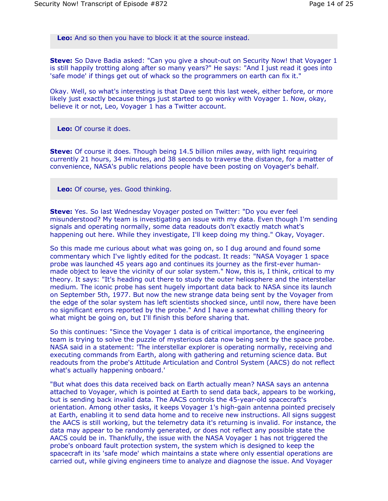**Leo:** And so then you have to block it at the source instead.

**Steve:** So Dave Badia asked: "Can you give a shout-out on Security Now! that Voyager 1 is still happily trotting along after so many years?" He says: "And I just read it goes into 'safe mode' if things get out of whack so the programmers on earth can fix it."

Okay. Well, so what's interesting is that Dave sent this last week, either before, or more likely just exactly because things just started to go wonky with Voyager 1. Now, okay, believe it or not, Leo, Voyager 1 has a Twitter account.

**Leo:** Of course it does.

**Steve:** Of course it does. Though being 14.5 billion miles away, with light requiring currently 21 hours, 34 minutes, and 38 seconds to traverse the distance, for a matter of convenience, NASA's public relations people have been posting on Voyager's behalf.

**Leo:** Of course, yes. Good thinking.

**Steve:** Yes. So last Wednesday Voyager posted on Twitter: "Do you ever feel misunderstood? My team is investigating an issue with my data. Even though I'm sending signals and operating normally, some data readouts don't exactly match what's happening out here. While they investigate, I'll keep doing my thing." Okay, Voyager.

So this made me curious about what was going on, so I dug around and found some commentary which I've lightly edited for the podcast. It reads: "NASA Voyager 1 space probe was launched 45 years ago and continues its journey as the first-ever humanmade object to leave the vicinity of our solar system." Now, this is, I think, critical to my theory. It says: "It's heading out there to study the outer heliosphere and the interstellar medium. The iconic probe has sent hugely important data back to NASA since its launch on September 5th, 1977. But now the new strange data being sent by the Voyager from the edge of the solar system has left scientists shocked since, until now, there have been no significant errors reported by the probe." And I have a somewhat chilling theory for what might be going on, but I'll finish this before sharing that.

So this continues: "Since the Voyager 1 data is of critical importance, the engineering team is trying to solve the puzzle of mysterious data now being sent by the space probe. NASA said in a statement: 'The interstellar explorer is operating normally, receiving and executing commands from Earth, along with gathering and returning science data. But readouts from the probe's Attitude Articulation and Control System (AACS) do not reflect what's actually happening onboard.'

"But what does this data received back on Earth actually mean? NASA says an antenna attached to Voyager, which is pointed at Earth to send data back, appears to be working, but is sending back invalid data. The AACS controls the 45-year-old spacecraft's orientation. Among other tasks, it keeps Voyager 1's high-gain antenna pointed precisely at Earth, enabling it to send data home and to receive new instructions. All signs suggest the AACS is still working, but the telemetry data it's returning is invalid. For instance, the data may appear to be randomly generated, or does not reflect any possible state the AACS could be in. Thankfully, the issue with the NASA Voyager 1 has not triggered the probe's onboard fault protection system, the system which is designed to keep the spacecraft in its 'safe mode' which maintains a state where only essential operations are carried out, while giving engineers time to analyze and diagnose the issue. And Voyager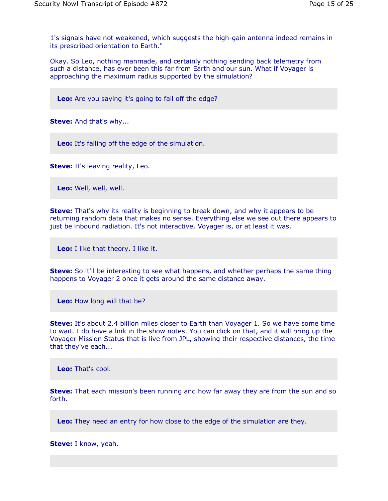1's signals have not weakened, which suggests the high-gain antenna indeed remains in its prescribed orientation to Earth."

Okay. So Leo, nothing manmade, and certainly nothing sending back telemetry from such a distance, has ever been this far from Earth and our sun. What if Voyager is approaching the maximum radius supported by the simulation?

**Leo:** Are you saying it's going to fall off the edge?

**Steve:** And that's why...

**Leo:** It's falling off the edge of the simulation.

**Steve:** It's leaving reality, Leo.

**Leo:** Well, well, well.

**Steve:** That's why its reality is beginning to break down, and why it appears to be returning random data that makes no sense. Everything else we see out there appears to just be inbound radiation. It's not interactive. Voyager is, or at least it was.

**Leo:** I like that theory. I like it.

**Steve:** So it'll be interesting to see what happens, and whether perhaps the same thing happens to Voyager 2 once it gets around the same distance away.

**Leo:** How long will that be?

**Steve:** It's about 2.4 billion miles closer to Earth than Voyager 1. So we have some time to wait. I do have a link in the show notes. You can click on that, and it will bring up the Voyager Mission Status that is live from JPL, showing their respective distances, the time that they've each...

**Leo:** That's cool.

**Steve:** That each mission's been running and how far away they are from the sun and so forth.

**Leo:** They need an entry for how close to the edge of the simulation are they.

**Steve:** I know, yeah.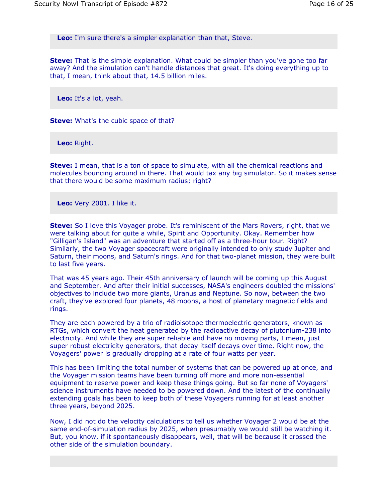**Leo:** I'm sure there's a simpler explanation than that, Steve.

**Steve:** That is the simple explanation. What could be simpler than you've gone too far away? And the simulation can't handle distances that great. It's doing everything up to that, I mean, think about that, 14.5 billion miles.

**Leo:** It's a lot, yeah.

**Steve:** What's the cubic space of that?

**Leo:** Right.

**Steve:** I mean, that is a ton of space to simulate, with all the chemical reactions and molecules bouncing around in there. That would tax any big simulator. So it makes sense that there would be some maximum radius; right?

**Leo:** Very 2001. I like it.

**Steve:** So I love this Voyager probe. It's reminiscent of the Mars Rovers, right, that we were talking about for quite a while, Spirit and Opportunity. Okay. Remember how "Gilligan's Island" was an adventure that started off as a three-hour tour. Right? Similarly, the two Voyager spacecraft were originally intended to only study Jupiter and Saturn, their moons, and Saturn's rings. And for that two-planet mission, they were built to last five years.

That was 45 years ago. Their 45th anniversary of launch will be coming up this August and September. And after their initial successes, NASA's engineers doubled the missions' objectives to include two more giants, Uranus and Neptune. So now, between the two craft, they've explored four planets, 48 moons, a host of planetary magnetic fields and rings.

They are each powered by a trio of radioisotope thermoelectric generators, known as RTGs, which convert the heat generated by the radioactive decay of plutonium-238 into electricity. And while they are super reliable and have no moving parts, I mean, just super robust electricity generators, that decay itself decays over time. Right now, the Voyagers' power is gradually dropping at a rate of four watts per year.

This has been limiting the total number of systems that can be powered up at once, and the Voyager mission teams have been turning off more and more non-essential equipment to reserve power and keep these things going. But so far none of Voyagers' science instruments have needed to be powered down. And the latest of the continually extending goals has been to keep both of these Voyagers running for at least another three years, beyond 2025.

Now, I did not do the velocity calculations to tell us whether Voyager 2 would be at the same end-of-simulation radius by 2025, when presumably we would still be watching it. But, you know, if it spontaneously disappears, well, that will be because it crossed the other side of the simulation boundary.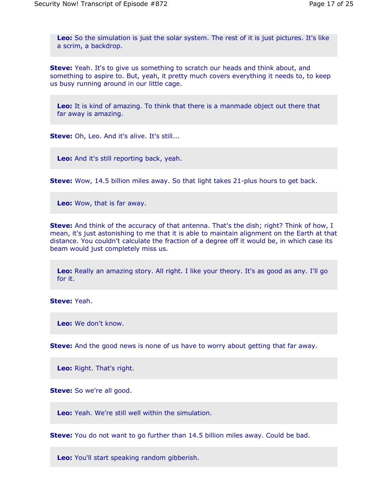**Leo:** So the simulation is just the solar system. The rest of it is just pictures. It's like a scrim, a backdrop.

**Steve:** Yeah. It's to give us something to scratch our heads and think about, and something to aspire to. But, yeah, it pretty much covers everything it needs to, to keep us busy running around in our little cage.

**Leo:** It is kind of amazing. To think that there is a manmade object out there that far away is amazing.

**Steve:** Oh, Leo. And it's alive. It's still...

**Leo:** And it's still reporting back, yeah.

**Steve:** Wow, 14.5 billion miles away. So that light takes 21-plus hours to get back.

**Leo:** Wow, that is far away.

**Steve:** And think of the accuracy of that antenna. That's the dish; right? Think of how, I mean, it's just astonishing to me that it is able to maintain alignment on the Earth at that distance. You couldn't calculate the fraction of a degree off it would be, in which case its beam would just completely miss us.

**Leo:** Really an amazing story. All right. I like your theory. It's as good as any. I'll go for it.

**Steve:** Yeah.

**Leo:** We don't know.

**Steve:** And the good news is none of us have to worry about getting that far away.

**Leo:** Right. That's right.

**Steve:** So we're all good.

**Leo:** Yeah. We're still well within the simulation.

**Steve:** You do not want to go further than 14.5 billion miles away. Could be bad.

**Leo:** You'll start speaking random gibberish.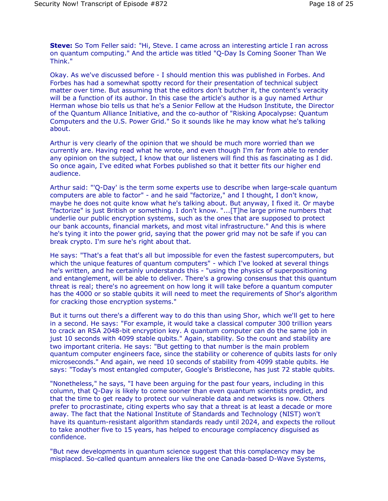**Steve:** So Tom Feller said: "Hi, Steve. I came across an interesting article I ran across on quantum computing." And the article was titled "Q-Day Is Coming Sooner Than We Think."

Okay. As we've discussed before - I should mention this was published in Forbes. And Forbes has had a somewhat spotty record for their presentation of technical subject matter over time. But assuming that the editors don't butcher it, the content's veracity will be a function of its author. In this case the article's author is a guy named Arthur Herman whose bio tells us that he's a Senior Fellow at the Hudson Institute, the Director of the Quantum Alliance Initiative, and the co-author of "Risking Apocalypse: Quantum Computers and the U.S. Power Grid." So it sounds like he may know what he's talking about.

Arthur is very clearly of the opinion that we should be much more worried than we currently are. Having read what he wrote, and even though I'm far from able to render any opinion on the subject, I know that our listeners will find this as fascinating as I did. So once again, I've edited what Forbes published so that it better fits our higher end audience.

Arthur said: "'Q-Day' is the term some experts use to describe when large-scale quantum computers are able to factor" - and he said "factorize," and I thought, I don't know, maybe he does not quite know what he's talking about. But anyway, I fixed it. Or maybe "factorize" is just British or something. I don't know. "...[T]he large prime numbers that underlie our public encryption systems, such as the ones that are supposed to protect our bank accounts, financial markets, and most vital infrastructure." And this is where he's tying it into the power grid, saying that the power grid may not be safe if you can break crypto. I'm sure he's right about that.

He says: "That's a feat that's all but impossible for even the fastest supercomputers, but which the unique features of quantum computers" - which I've looked at several things he's written, and he certainly understands this - "using the physics of superpositioning and entanglement, will be able to deliver. There's a growing consensus that this quantum threat is real; there's no agreement on how long it will take before a quantum computer has the 4000 or so stable qubits it will need to meet the requirements of Shor's algorithm for cracking those encryption systems."

But it turns out there's a different way to do this than using Shor, which we'll get to here in a second. He says: "For example, it would take a classical computer 300 trillion years to crack an RSA 2048-bit encryption key. A quantum computer can do the same job in just 10 seconds with 4099 stable qubits." Again, stability. So the count and stability are two important criteria. He says: "But getting to that number is the main problem quantum computer engineers face, since the stability or coherence of qubits lasts for only microseconds." And again, we need 10 seconds of stability from 4099 stable qubits. He says: "Today's most entangled computer, Google's Bristlecone, has just 72 stable qubits.

"Nonetheless," he says, "I have been arguing for the past four years, including in this column, that Q-Day is likely to come sooner than even quantum scientists predict, and that the time to get ready to protect our vulnerable data and networks is now. Others prefer to procrastinate, citing experts who say that a threat is at least a decade or more away. The fact that the National Institute of Standards and Technology (NIST) won't have its quantum-resistant algorithm standards ready until 2024, and expects the rollout to take another five to 15 years, has helped to encourage complacency disguised as confidence.

"But new developments in quantum science suggest that this complacency may be misplaced. So-called quantum annealers like the one Canada-based D-Wave Systems,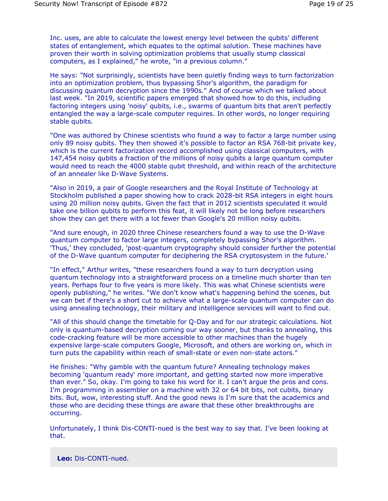Inc. uses, are able to calculate the lowest energy level between the qubits' different states of entanglement, which equates to the optimal solution. These machines have proven their worth in solving optimization problems that usually stump classical computers, as I explained," he wrote, "in a previous column."

He says: "Not surprisingly, scientists have been quietly finding ways to turn factorization into an optimization problem, thus bypassing Shor's algorithm, the paradigm for discussing quantum decryption since the 1990s." And of course which we talked about last week. "In 2019, scientific papers emerged that showed how to do this, including factoring integers using 'noisy' qubits, i.e., swarms of quantum bits that aren't perfectly entangled the way a large-scale computer requires. In other words, no longer requiring stable qubits.

"One was authored by Chinese scientists who found a way to factor a large number using only 89 noisy qubits. They then showed it's possible to factor an RSA 768-bit private key, which is the current factorization record accomplished using classical computers, with 147,454 noisy qubits a fraction of the millions of noisy qubits a large quantum computer would need to reach the 4000 stable qubit threshold, and within reach of the architecture of an annealer like D-Wave Systems.

"Also in 2019, a pair of Google researchers and the Royal Institute of Technology at Stockholm published a paper showing how to crack 2028-bit RSA integers in eight hours using 20 million noisy qubits. Given the fact that in 2012 scientists speculated it would take one billion qubits to perform this feat, it will likely not be long before researchers show they can get there with a lot fewer than Google's 20 million noisy qubits.

"And sure enough, in 2020 three Chinese researchers found a way to use the D-Wave quantum computer to factor large integers, completely bypassing Shor's algorithm. 'Thus,' they concluded, 'post-quantum cryptography should consider further the potential of the D-Wave quantum computer for deciphering the RSA cryptosystem in the future.'

"In effect," Arthur writes, "these researchers found a way to turn decryption using quantum technology into a straightforward process on a timeline much shorter than ten years. Perhaps four to five years is more likely. This was what Chinese scientists were openly publishing," he writes. "We don't know what's happening behind the scenes, but we can bet if there's a short cut to achieve what a large-scale quantum computer can do using annealing technology, their military and intelligence services will want to find out.

"All of this should change the timetable for Q-Day and for our strategic calculations. Not only is quantum-based decryption coming our way sooner, but thanks to annealing, this code-cracking feature will be more accessible to other machines than the hugely expensive large-scale computers Google, Microsoft, and others are working on, which in turn puts the capability within reach of small-state or even non-state actors."

He finishes: "Why gamble with the quantum future? Annealing technology makes becoming 'quantum ready' more important, and getting started now more imperative than ever." So, okay. I'm going to take his word for it. I can't argue the pros and cons. I'm programming in assembler on a machine with 32 or 64 bit bits, not cubits, binary bits. But, wow, interesting stuff. And the good news is I'm sure that the academics and those who are deciding these things are aware that these other breakthroughs are occurring.

Unfortunately, I think Dis-CONTI-nued is the best way to say that. I've been looking at that.

**Leo:** Dis-CONTI-nued.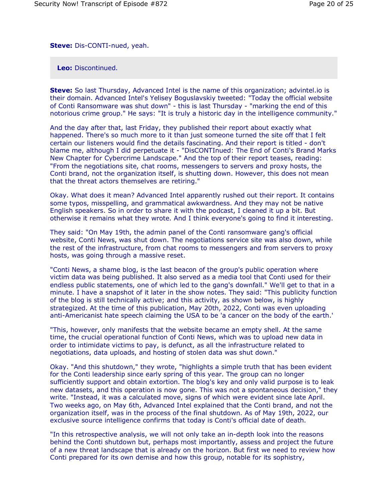**Steve:** Dis-CONTI-nued, yeah.

**Leo:** Discontinued.

**Steve:** So last Thursday, Advanced Intel is the name of this organization; advintel.io is their domain. Advanced Intel's Yelisey Boguslavskiy tweeted: "Today the official website of Conti Ransomware was shut down" - this is last Thursday - "marking the end of this notorious crime group." He says: "It is truly a historic day in the intelligence community."

And the day after that, last Friday, they published their report about exactly what happened. There's so much more to it than just someone turned the site off that I felt certain our listeners would find the details fascinating. And their report is titled - don't blame me, although I did perpetuate it - "DisCONTInued: The End of Conti's Brand Marks New Chapter for Cybercrime Landscape." And the top of their report teases, reading: "From the negotiations site, chat rooms, messengers to servers and proxy hosts, the Conti brand, not the organization itself, is shutting down. However, this does not mean that the threat actors themselves are retiring."

Okay. What does it mean? Advanced Intel apparently rushed out their report. It contains some typos, misspelling, and grammatical awkwardness. And they may not be native English speakers. So in order to share it with the podcast, I cleaned it up a bit. But otherwise it remains what they wrote. And I think everyone's going to find it interesting.

They said: "On May 19th, the admin panel of the Conti ransomware gang's official website, Conti News, was shut down. The negotiations service site was also down, while the rest of the infrastructure, from chat rooms to messengers and from servers to proxy hosts, was going through a massive reset.

"Conti News, a shame blog, is the last beacon of the group's public operation where victim data was being published. It also served as a media tool that Conti used for their endless public statements, one of which led to the gang's downfall." We'll get to that in a minute. I have a snapshot of it later in the show notes. They said: "This publicity function of the blog is still technically active; and this activity, as shown below, is highly strategized. At the time of this publication, May 20th, 2022, Conti was even uploading anti-Americanist hate speech claiming the USA to be 'a cancer on the body of the earth.'

"This, however, only manifests that the website became an empty shell. At the same time, the crucial operational function of Conti News, which was to upload new data in order to intimidate victims to pay, is defunct, as all the infrastructure related to negotiations, data uploads, and hosting of stolen data was shut down."

Okay. "And this shutdown," they wrote, "highlights a simple truth that has been evident for the Conti leadership since early spring of this year. The group can no longer sufficiently support and obtain extortion. The blog's key and only valid purpose is to leak new datasets, and this operation is now gone. This was not a spontaneous decision," they write. "Instead, it was a calculated move, signs of which were evident since late April. Two weeks ago, on May 6th, Advanced Intel explained that the Conti brand, and not the organization itself, was in the process of the final shutdown. As of May 19th, 2022, our exclusive source intelligence confirms that today is Conti's official date of death.

"In this retrospective analysis, we will not only take an in-depth look into the reasons behind the Conti shutdown but, perhaps most importantly, assess and project the future of a new threat landscape that is already on the horizon. But first we need to review how Conti prepared for its own demise and how this group, notable for its sophistry,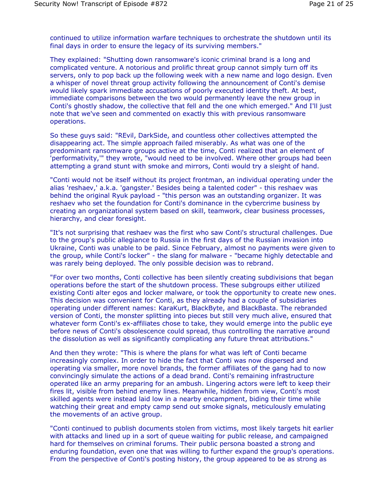continued to utilize information warfare techniques to orchestrate the shutdown until its final days in order to ensure the legacy of its surviving members."

They explained: "Shutting down ransomware's iconic criminal brand is a long and complicated venture. A notorious and prolific threat group cannot simply turn off its servers, only to pop back up the following week with a new name and logo design. Even a whisper of novel threat group activity following the announcement of Conti's demise would likely spark immediate accusations of poorly executed identity theft. At best, immediate comparisons between the two would permanently leave the new group in Conti's ghostly shadow, the collective that fell and the one which emerged." And I'll just note that we've seen and commented on exactly this with previous ransomware operations.

So these guys said: "REvil, DarkSide, and countless other collectives attempted the disappearing act. The simple approach failed miserably. As what was one of the predominant ransomware groups active at the time, Conti realized that an element of 'performativity,'" they wrote, "would need to be involved. Where other groups had been attempting a grand stunt with smoke and mirrors, Conti would try a sleight of hand.

"Conti would not be itself without its project frontman, an individual operating under the alias 'reshaev,' a.k.a. 'gangster.' Besides being a talented coder" - this reshaev was behind the original Ryuk payload - "this person was an outstanding organizer. It was reshaev who set the foundation for Conti's dominance in the cybercrime business by creating an organizational system based on skill, teamwork, clear business processes, hierarchy, and clear foresight.

"It's not surprising that reshaev was the first who saw Conti's structural challenges. Due to the group's public allegiance to Russia in the first days of the Russian invasion into Ukraine, Conti was unable to be paid. Since February, almost no payments were given to the group, while Conti's locker" - the slang for malware - "became highly detectable and was rarely being deployed. The only possible decision was to rebrand.

"For over two months, Conti collective has been silently creating subdivisions that began operations before the start of the shutdown process. These subgroups either utilized existing Conti alter egos and locker malware, or took the opportunity to create new ones. This decision was convenient for Conti, as they already had a couple of subsidiaries operating under different names: KaraKurt, BlackByte, and BlackBasta. The rebranded version of Conti, the monster splitting into pieces but still very much alive, ensured that whatever form Conti's ex-affiliates chose to take, they would emerge into the public eye before news of Conti's obsolescence could spread, thus controlling the narrative around the dissolution as well as significantly complicating any future threat attributions."

And then they wrote: "This is where the plans for what was left of Conti became increasingly complex. In order to hide the fact that Conti was now dispersed and operating via smaller, more novel brands, the former affiliates of the gang had to now convincingly simulate the actions of a dead brand. Conti's remaining infrastructure operated like an army preparing for an ambush. Lingering actors were left to keep their fires lit, visible from behind enemy lines. Meanwhile, hidden from view, Conti's most skilled agents were instead laid low in a nearby encampment, biding their time while watching their great and empty camp send out smoke signals, meticulously emulating the movements of an active group.

"Conti continued to publish documents stolen from victims, most likely targets hit earlier with attacks and lined up in a sort of queue waiting for public release, and campaigned hard for themselves on criminal forums. Their public persona boasted a strong and enduring foundation, even one that was willing to further expand the group's operations. From the perspective of Conti's posting history, the group appeared to be as strong as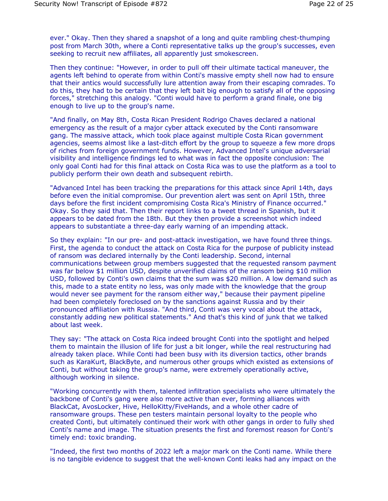ever." Okay. Then they shared a snapshot of a long and quite rambling chest-thumping post from March 30th, where a Conti representative talks up the group's successes, even seeking to recruit new affiliates, all apparently just smokescreen.

Then they continue: "However, in order to pull off their ultimate tactical maneuver, the agents left behind to operate from within Conti's massive empty shell now had to ensure that their antics would successfully lure attention away from their escaping comrades. To do this, they had to be certain that they left bait big enough to satisfy all of the opposing forces," stretching this analogy. "Conti would have to perform a grand finale, one big enough to live up to the group's name.

"And finally, on May 8th, Costa Rican President Rodrigo Chaves declared a national emergency as the result of a major cyber attack executed by the Conti ransomware gang. The massive attack, which took place against multiple Costa Rican government agencies, seems almost like a last-ditch effort by the group to squeeze a few more drops of riches from foreign government funds. However, Advanced Intel's unique adversarial visibility and intelligence findings led to what was in fact the opposite conclusion: The only goal Conti had for this final attack on Costa Rica was to use the platform as a tool to publicly perform their own death and subsequent rebirth.

"Advanced Intel has been tracking the preparations for this attack since April 14th, days before even the initial compromise. Our prevention alert was sent on April 15th, three days before the first incident compromising Costa Rica's Ministry of Finance occurred." Okay. So they said that. Then their report links to a tweet thread in Spanish, but it appears to be dated from the 18th. But they then provide a screenshot which indeed appears to substantiate a three-day early warning of an impending attack.

So they explain: "In our pre- and post-attack investigation, we have found three things. First, the agenda to conduct the attack on Costa Rica for the purpose of publicity instead of ransom was declared internally by the Conti leadership. Second, internal communications between group members suggested that the requested ransom payment was far below \$1 million USD, despite unverified claims of the ransom being \$10 million USD, followed by Conti's own claims that the sum was \$20 million. A low demand such as this, made to a state entity no less, was only made with the knowledge that the group would never see payment for the ransom either way," because their payment pipeline had been completely foreclosed on by the sanctions against Russia and by their pronounced affiliation with Russia. "And third, Conti was very vocal about the attack, constantly adding new political statements." And that's this kind of junk that we talked about last week.

They say: "The attack on Costa Rica indeed brought Conti into the spotlight and helped them to maintain the illusion of life for just a bit longer, while the real restructuring had already taken place. While Conti had been busy with its diversion tactics, other brands such as KaraKurt, BlackByte, and numerous other groups which existed as extensions of Conti, but without taking the group's name, were extremely operationally active, although working in silence.

"Working concurrently with them, talented infiltration specialists who were ultimately the backbone of Conti's gang were also more active than ever, forming alliances with BlackCat, AvosLocker, Hive, HelloKitty/FiveHands, and a whole other cadre of ransomware groups. These pen testers maintain personal loyalty to the people who created Conti, but ultimately continued their work with other gangs in order to fully shed Conti's name and image. The situation presents the first and foremost reason for Conti's timely end: toxic branding.

"Indeed, the first two months of 2022 left a major mark on the Conti name. While there is no tangible evidence to suggest that the well-known Conti leaks had any impact on the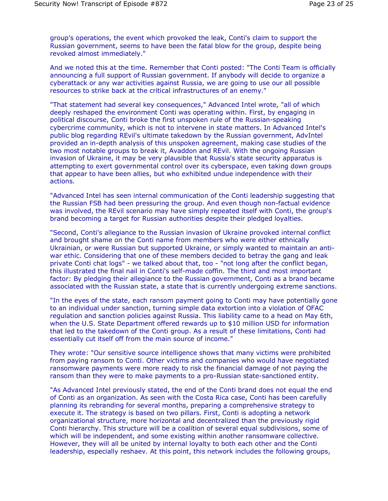group's operations, the event which provoked the leak, Conti's claim to support the Russian government, seems to have been the fatal blow for the group, despite being revoked almost immediately."

And we noted this at the time. Remember that Conti posted: "The Conti Team is officially announcing a full support of Russian government. If anybody will decide to organize a cyberattack or any war activities against Russia, we are going to use our all possible resources to strike back at the critical infrastructures of an enemy."

"That statement had several key consequences," Advanced Intel wrote, "all of which deeply reshaped the environment Conti was operating within. First, by engaging in political discourse, Conti broke the first unspoken rule of the Russian-speaking cybercrime community, which is not to intervene in state matters. In Advanced Intel's public blog regarding REvil's ultimate takedown by the Russian government, AdvIntel provided an in-depth analysis of this unspoken agreement, making case studies of the two most notable groups to break it, Avaddon and REvil. With the ongoing Russian invasion of Ukraine, it may be very plausible that Russia's state security apparatus is attempting to exert governmental control over its cyberspace, even taking down groups that appear to have been allies, but who exhibited undue independence with their actions.

"Advanced Intel has seen internal communication of the Conti leadership suggesting that the Russian FSB had been pressuring the group. And even though non-factual evidence was involved, the REvil scenario may have simply repeated itself with Conti, the group's brand becoming a target for Russian authorities despite their pledged loyalties.

"Second, Conti's allegiance to the Russian invasion of Ukraine provoked internal conflict and brought shame on the Conti name from members who were either ethnically Ukrainian, or were Russian but supported Ukraine, or simply wanted to maintain an antiwar ethic. Considering that one of these members decided to betray the gang and leak private Conti chat logs" - we talked about that, too - "not long after the conflict began, this illustrated the final nail in Conti's self-made coffin. The third and most important factor: By pledging their allegiance to the Russian government, Conti as a brand became associated with the Russian state, a state that is currently undergoing extreme sanctions.

"In the eyes of the state, each ransom payment going to Conti may have potentially gone to an individual under sanction, turning simple data extortion into a violation of OFAC regulation and sanction policies against Russia. This liability came to a head on May 6th, when the U.S. State Department offered rewards up to \$10 million USD for information that led to the takedown of the Conti group. As a result of these limitations, Conti had essentially cut itself off from the main source of income."

They wrote: "Our sensitive source intelligence shows that many victims were prohibited from paying ransom to Conti. Other victims and companies who would have negotiated ransomware payments were more ready to risk the financial damage of not paying the ransom than they were to make payments to a pro-Russian state-sanctioned entity.

"As Advanced Intel previously stated, the end of the Conti brand does not equal the end of Conti as an organization. As seen with the Costa Rica case, Conti has been carefully planning its rebranding for several months, preparing a comprehensive strategy to execute it. The strategy is based on two pillars. First, Conti is adopting a network organizational structure, more horizontal and decentralized than the previously rigid Conti hierarchy. This structure will be a coalition of several equal subdivisions, some of which will be independent, and some existing within another ransomware collective. However, they will all be united by internal loyalty to both each other and the Conti leadership, especially reshaev. At this point, this network includes the following groups,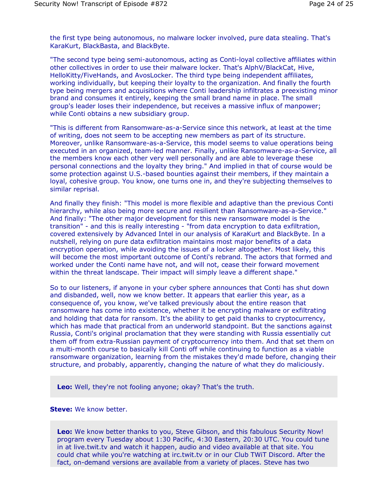the first type being autonomous, no malware locker involved, pure data stealing. That's KaraKurt, BlackBasta, and BlackByte.

"The second type being semi-autonomous, acting as Conti-loyal collective affiliates within other collectives in order to use their malware locker. That's AlphV/BlackCat, Hive, HelloKitty/FiveHands, and AvosLocker. The third type being independent affiliates, working individually, but keeping their loyalty to the organization. And finally the fourth type being mergers and acquisitions where Conti leadership infiltrates a preexisting minor brand and consumes it entirely, keeping the small brand name in place. The small group's leader loses their independence, but receives a massive influx of manpower; while Conti obtains a new subsidiary group.

"This is different from Ransomware-as-a-Service since this network, at least at the time of writing, does not seem to be accepting new members as part of its structure. Moreover, unlike Ransomware-as-a-Service, this model seems to value operations being executed in an organized, team-led manner. Finally, unlike Ransomware-as-a-Service, all the members know each other very well personally and are able to leverage these personal connections and the loyalty they bring." And implied in that of course would be some protection against U.S.-based bounties against their members, if they maintain a loyal, cohesive group. You know, one turns one in, and they're subjecting themselves to similar reprisal.

And finally they finish: "This model is more flexible and adaptive than the previous Conti hierarchy, while also being more secure and resilient than Ransomware-as-a-Service." And finally: "The other major development for this new ransomware model is the transition" - and this is really interesting - "from data encryption to data exfiltration, covered extensively by Advanced Intel in our analysis of KaraKurt and BlackByte. In a nutshell, relying on pure data exfiltration maintains most major benefits of a data encryption operation, while avoiding the issues of a locker altogether. Most likely, this will become the most important outcome of Conti's rebrand. The actors that formed and worked under the Conti name have not, and will not, cease their forward movement within the threat landscape. Their impact will simply leave a different shape."

So to our listeners, if anyone in your cyber sphere announces that Conti has shut down and disbanded, well, now we know better. It appears that earlier this year, as a consequence of, you know, we've talked previously about the entire reason that ransomware has come into existence, whether it be encrypting malware or exfiltrating and holding that data for ransom. It's the ability to get paid thanks to cryptocurrency, which has made that practical from an underworld standpoint. But the sanctions against Russia, Conti's original proclamation that they were standing with Russia essentially cut them off from extra-Russian payment of cryptocurrency into them. And that set them on a multi-month course to basically kill Conti off while continuing to function as a viable ransomware organization, learning from the mistakes they'd made before, changing their structure, and probably, apparently, changing the nature of what they do maliciously.

**Leo:** Well, they're not fooling anyone; okay? That's the truth.

## **Steve:** We know better.

**Leo:** We know better thanks to you, Steve Gibson, and this fabulous Security Now! program every Tuesday about 1:30 Pacific, 4:30 Eastern, 20:30 UTC. You could tune in at live.twit.tv and watch it happen, audio and video available at that site. You could chat while you're watching at irc.twit.tv or in our Club TWiT Discord. After the fact, on-demand versions are available from a variety of places. Steve has two